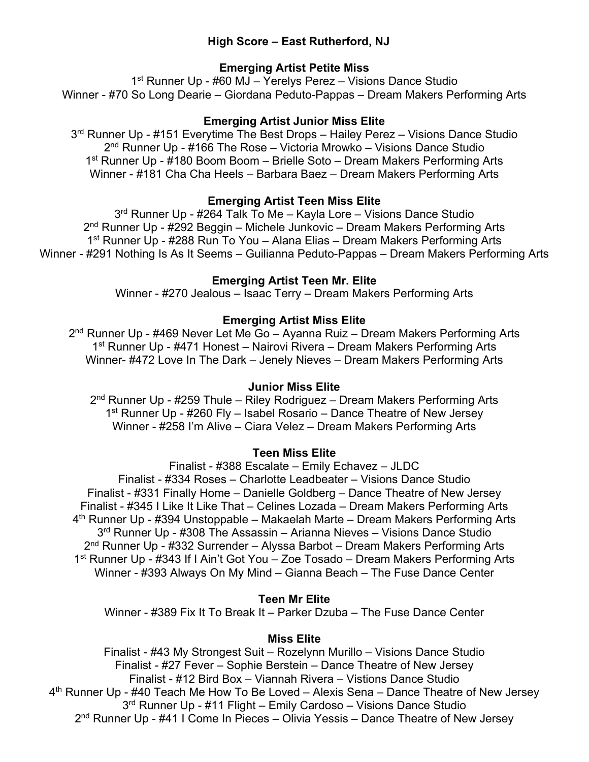# **High Score – East Rutherford, NJ**

## **Emerging Artist Petite Miss**

1st Runner Up - #60 MJ – Yerelys Perez – Visions Dance Studio Winner - #70 So Long Dearie – Giordana Peduto-Pappas – Dream Makers Performing Arts

# **Emerging Artist Junior Miss Elite**

3<sup>rd</sup> Runner Up - #151 Everytime The Best Drops - Hailey Perez - Visions Dance Studio 2nd Runner Up - #166 The Rose – Victoria Mrowko – Visions Dance Studio 1<sup>st</sup> Runner Up - #180 Boom Boom – Brielle Soto – Dream Makers Performing Arts Winner - #181 Cha Cha Heels – Barbara Baez – Dream Makers Performing Arts

## **Emerging Artist Teen Miss Elite**

3<sup>rd</sup> Runner Up - #264 Talk To Me - Kayla Lore - Visions Dance Studio 2nd Runner Up - #292 Beggin – Michele Junkovic – Dream Makers Performing Arts 1<sup>st</sup> Runner Up - #288 Run To You – Alana Elias – Dream Makers Performing Arts Winner - #291 Nothing Is As It Seems – Guilianna Peduto-Pappas – Dream Makers Performing Arts

## **Emerging Artist Teen Mr. Elite**

Winner - #270 Jealous – Isaac Terry – Dream Makers Performing Arts

# **Emerging Artist Miss Elite**

2<sup>nd</sup> Runner Up - #469 Never Let Me Go - Ayanna Ruiz - Dream Makers Performing Arts 1<sup>st</sup> Runner Up - #471 Honest – Nairovi Rivera – Dream Makers Performing Arts Winner- #472 Love In The Dark – Jenely Nieves – Dream Makers Performing Arts

## **Junior Miss Elite**

 $2<sup>nd</sup>$  Runner Up - #259 Thule – Riley Rodriguez – Dream Makers Performing Arts 1st Runner Up - #260 Fly – Isabel Rosario – Dance Theatre of New Jersey Winner - #258 I'm Alive – Ciara Velez – Dream Makers Performing Arts

## **Teen Miss Elite**

Finalist - #388 Escalate – Emily Echavez – JLDC Finalist - #334 Roses – Charlotte Leadbeater – Visions Dance Studio Finalist - #331 Finally Home – Danielle Goldberg – Dance Theatre of New Jersey Finalist - #345 I Like It Like That – Celines Lozada – Dream Makers Performing Arts 4th Runner Up - #394 Unstoppable – Makaelah Marte – Dream Makers Performing Arts 3rd Runner Up - #308 The Assassin – Arianna Nieves – Visions Dance Studio 2<sup>nd</sup> Runner Up - #332 Surrender – Alyssa Barbot – Dream Makers Performing Arts 1st Runner Up - #343 If I Ain't Got You – Zoe Tosado – Dream Makers Performing Arts Winner - #393 Always On My Mind – Gianna Beach – The Fuse Dance Center

## **Teen Mr Elite**

Winner - #389 Fix It To Break It – Parker Dzuba – The Fuse Dance Center

## **Miss Elite**

Finalist - #43 My Strongest Suit – Rozelynn Murillo – Visions Dance Studio Finalist - #27 Fever – Sophie Berstein – Dance Theatre of New Jersey Finalist - #12 Bird Box – Viannah Rivera – Vistions Dance Studio 4<sup>th</sup> Runner Up - #40 Teach Me How To Be Loved – Alexis Sena – Dance Theatre of New Jersey 3rd Runner Up - #11 Flight – Emily Cardoso – Visions Dance Studio 2nd Runner Up - #41 I Come In Pieces – Olivia Yessis – Dance Theatre of New Jersey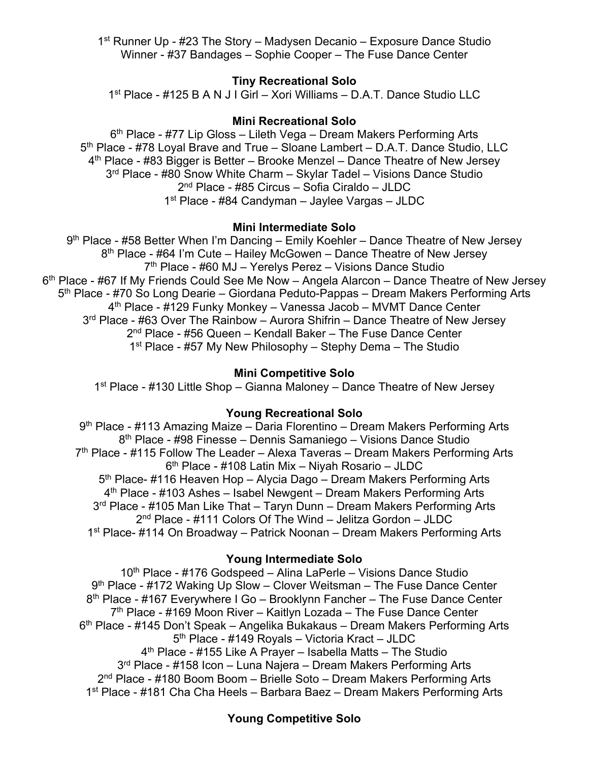1st Runner Up - #23 The Story – Madysen Decanio – Exposure Dance Studio Winner - #37 Bandages – Sophie Cooper – The Fuse Dance Center

# **Tiny Recreational Solo**

1st Place - #125 B A N J I Girl – Xori Williams – D.A.T. Dance Studio LLC

# **Mini Recreational Solo**

6<sup>th</sup> Place - #77 Lip Gloss – Lileth Vega – Dream Makers Performing Arts 5th Place - #78 Loyal Brave and True – Sloane Lambert – D.A.T. Dance Studio, LLC 4th Place - #83 Bigger is Better – Brooke Menzel – Dance Theatre of New Jersey 3<sup>rd</sup> Place - #80 Snow White Charm – Skylar Tadel – Visions Dance Studio 2nd Place - #85 Circus – Sofia Ciraldo – JLDC 1st Place - #84 Candyman – Jaylee Vargas – JLDC

## **Mini Intermediate Solo**

9th Place - #58 Better When I'm Dancing – Emily Koehler – Dance Theatre of New Jersey 8<sup>th</sup> Place - #64 I'm Cute – Hailey McGowen – Dance Theatre of New Jersey 7<sup>th</sup> Place - #60 MJ – Yerelys Perez – Visions Dance Studio 6<sup>th</sup> Place - #67 If My Friends Could See Me Now – Angela Alarcon – Dance Theatre of New Jersey 5<sup>th</sup> Place - #70 So Long Dearie – Giordana Peduto-Pappas – Dream Makers Performing Arts 4th Place - #129 Funky Monkey – Vanessa Jacob – MVMT Dance Center 3<sup>rd</sup> Place - #63 Over The Rainbow – Aurora Shifrin – Dance Theatre of New Jersey 2<sup>nd</sup> Place - #56 Queen – Kendall Baker – The Fuse Dance Center 1<sup>st</sup> Place - #57 My New Philosophy – Stephy Dema – The Studio

# **Mini Competitive Solo**

1<sup>st</sup> Place - #130 Little Shop – Gianna Maloney – Dance Theatre of New Jersey

## **Young Recreational Solo**

9<sup>th</sup> Place - #113 Amazing Maize – Daria Florentino – Dream Makers Performing Arts 8th Place - #98 Finesse – Dennis Samaniego – Visions Dance Studio 7<sup>th</sup> Place - #115 Follow The Leader – Alexa Taveras – Dream Makers Performing Arts 6th Place - #108 Latin Mix – Niyah Rosario – JLDC 5<sup>th</sup> Place- #116 Heaven Hop – Alycia Dago – Dream Makers Performing Arts 4th Place - #103 Ashes – Isabel Newgent – Dream Makers Performing Arts 3<sup>rd</sup> Place - #105 Man Like That – Taryn Dunn – Dream Makers Performing Arts 2nd Place - #111 Colors Of The Wind – Jelitza Gordon – JLDC 1<sup>st</sup> Place- #114 On Broadway – Patrick Noonan – Dream Makers Performing Arts

# **Young Intermediate Solo**

10<sup>th</sup> Place - #176 Godspeed – Alina LaPerle – Visions Dance Studio 9<sup>th</sup> Place - #172 Waking Up Slow – Clover Weitsman – The Fuse Dance Center 8<sup>th</sup> Place - #167 Everywhere I Go – Brooklynn Fancher – The Fuse Dance Center 7<sup>th</sup> Place - #169 Moon River – Kaitlyn Lozada – The Fuse Dance Center 6th Place - #145 Don't Speak – Angelika Bukakaus – Dream Makers Performing Arts 5<sup>th</sup> Place - #149 Royals - Victoria Kract - JLDC  $4<sup>th</sup>$  Place - #155 Like A Prayer – Isabella Matts – The Studio 3rd Place - #158 Icon – Luna Najera – Dream Makers Performing Arts 2nd Place - #180 Boom Boom – Brielle Soto – Dream Makers Performing Arts 1<sup>st</sup> Place - #181 Cha Cha Heels – Barbara Baez – Dream Makers Performing Arts

# **Young Competitive Solo**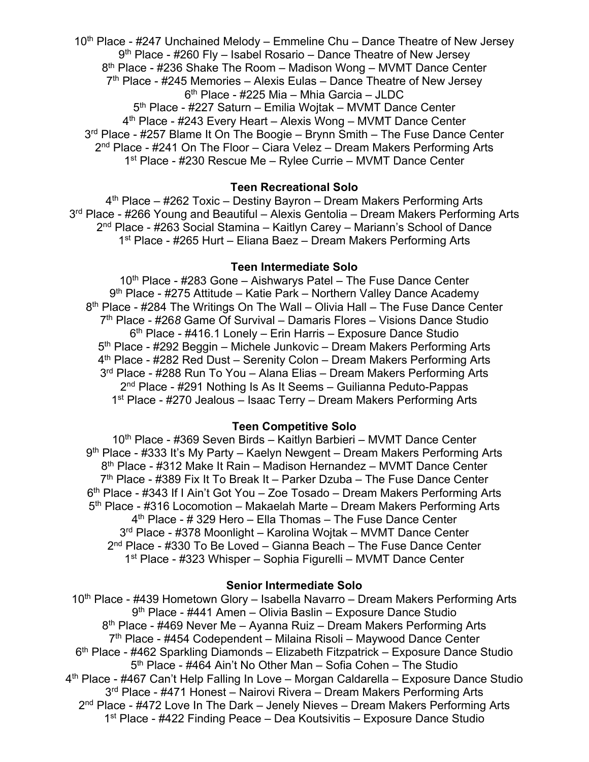$10<sup>th</sup>$  Place - #247 Unchained Melody – Emmeline Chu – Dance Theatre of New Jersey 9th Place - #260 Fly – Isabel Rosario – Dance Theatre of New Jersey 8<sup>th</sup> Place - #236 Shake The Room – Madison Wong – MVMT Dance Center  $7<sup>th</sup>$  Place - #245 Memories – Alexis Eulas – Dance Theatre of New Jersey 6th Place - #225 Mia – Mhia Garcia – JLDC 5<sup>th</sup> Place - #227 Saturn – Emilia Wojtak – MVMT Dance Center 4th Place - #243 Every Heart – Alexis Wong – MVMT Dance Center 3<sup>rd</sup> Place - #257 Blame It On The Boogie – Brynn Smith – The Fuse Dance Center 2<sup>nd</sup> Place - #241 On The Floor – Ciara Velez – Dream Makers Performing Arts 1<sup>st</sup> Place - #230 Rescue Me - Rylee Currie - MVMT Dance Center

## **Teen Recreational Solo**

 $4<sup>th</sup>$  Place – #262 Toxic – Destiny Bayron – Dream Makers Performing Arts 3<sup>rd</sup> Place - #266 Young and Beautiful – Alexis Gentolia – Dream Makers Performing Arts 2nd Place - #263 Social Stamina – Kaitlyn Carey – Mariann's School of Dance 1st Place - #265 Hurt – Eliana Baez – Dream Makers Performing Arts

### **Teen Intermediate Solo**

10<sup>th</sup> Place - #283 Gone – Aishwarys Patel – The Fuse Dance Center 9th Place - #275 Attitude – Katie Park – Northern Valley Dance Academy 8<sup>th</sup> Place - #284 The Writings On The Wall – Olivia Hall – The Fuse Dance Center 7th Place - #26*8* Game Of Survival – Damaris Flores – Visions Dance Studio  $6<sup>th</sup>$  Place - #416.1 Lonely – Erin Harris – Exposure Dance Studio 5th Place - #292 Beggin – Michele Junkovic – Dream Makers Performing Arts 4th Place - #282 Red Dust – Serenity Colon – Dream Makers Performing Arts 3rd Place - #288 Run To You – Alana Elias – Dream Makers Performing Arts 2nd Place - #291 Nothing Is As It Seems – Guilianna Peduto-Pappas 1st Place - #270 Jealous – Isaac Terry – Dream Makers Performing Arts

## **Teen Competitive Solo**

10<sup>th</sup> Place - #369 Seven Birds – Kaitlyn Barbieri – MVMT Dance Center 9<sup>th</sup> Place - #333 It's My Party – Kaelyn Newgent – Dream Makers Performing Arts 8th Place - #312 Make It Rain – Madison Hernandez – MVMT Dance Center  $7<sup>th</sup>$  Place - #389 Fix It To Break It – Parker Dzuba – The Fuse Dance Center 6th Place - #343 If I Ain't Got You – Zoe Tosado – Dream Makers Performing Arts 5th Place - #316 Locomotion – Makaelah Marte – Dream Makers Performing Arts  $4<sup>th</sup>$  Place - # 329 Hero – Ella Thomas – The Fuse Dance Center 3rd Place - #378 Moonlight – Karolina Wojtak – MVMT Dance Center  $2<sup>nd</sup> Place - #330 To Be Loved - Gianna Beach - The Fuse Dance Center$ 1st Place - #323 Whisper – Sophia Figurelli – MVMT Dance Center

## **Senior Intermediate Solo**

10<sup>th</sup> Place - #439 Hometown Glory – Isabella Navarro – Dream Makers Performing Arts 9th Place - #441 Amen – Olivia Baslin – Exposure Dance Studio 8<sup>th</sup> Place - #469 Never Me – Ayanna Ruiz – Dream Makers Performing Arts 7<sup>th</sup> Place - #454 Codependent – Milaina Risoli – Maywood Dance Center 6th Place - #462 Sparkling Diamonds – Elizabeth Fitzpatrick – Exposure Dance Studio 5th Place - #464 Ain't No Other Man – Sofia Cohen – The Studio 4th Place - #467 Can't Help Falling In Love – Morgan Caldarella – Exposure Dance Studio 3<sup>rd</sup> Place - #471 Honest – Nairovi Rivera – Dream Makers Performing Arts  $2<sup>nd</sup>$  Place - #472 Love In The Dark – Jenely Nieves – Dream Makers Performing Arts 1st Place - #422 Finding Peace – Dea Koutsivitis – Exposure Dance Studio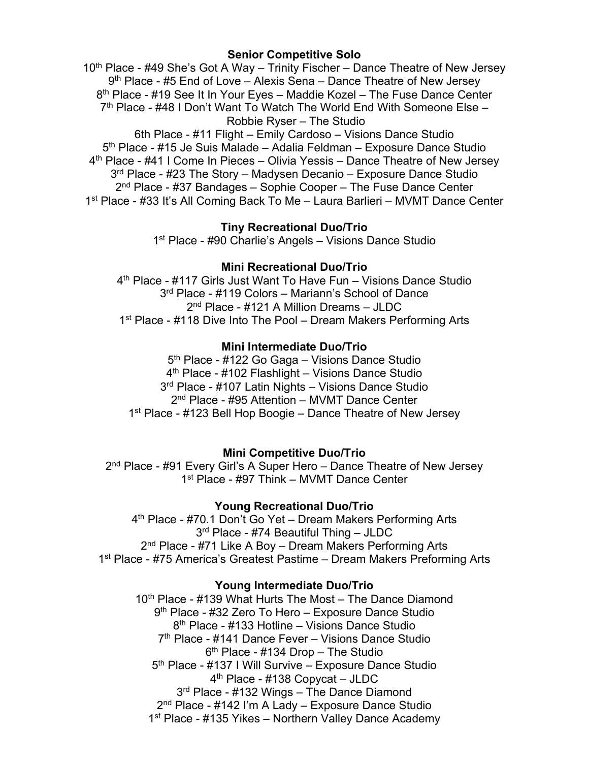## **Senior Competitive Solo**

10<sup>th</sup> Place - #49 She's Got A Way – Trinity Fischer – Dance Theatre of New Jersey 9<sup>th</sup> Place - #5 End of Love – Alexis Sena – Dance Theatre of New Jersey 8<sup>th</sup> Place - #19 See It In Your Eyes – Maddie Kozel – The Fuse Dance Center  $7<sup>th</sup>$  Place - #48 I Don't Want To Watch The World End With Someone Else – Robbie Ryser – The Studio

6th Place - #11 Flight – Emily Cardoso – Visions Dance Studio 5th Place - #15 Je Suis Malade – Adalia Feldman – Exposure Dance Studio 4th Place - #41 I Come In Pieces – Olivia Yessis – Dance Theatre of New Jersey 3<sup>rd</sup> Place - #23 The Story – Madysen Decanio – Exposure Dance Studio 2<sup>nd</sup> Place - #37 Bandages – Sophie Cooper – The Fuse Dance Center 1st Place - #33 It's All Coming Back To Me – Laura Barlieri – MVMT Dance Center

## **Tiny Recreational Duo/Trio**

1<sup>st</sup> Place - #90 Charlie's Angels – Visions Dance Studio

## **Mini Recreational Duo/Trio**

4<sup>th</sup> Place - #117 Girls Just Want To Have Fun – Visions Dance Studio 3rd Place - #119 Colors – Mariann's School of Dance 2nd Place - #121 A Million Dreams – JLDC 1<sup>st</sup> Place - #118 Dive Into The Pool – Dream Makers Performing Arts

## **Mini Intermediate Duo/Trio**

5<sup>th</sup> Place - #122 Go Gaga – Visions Dance Studio 4th Place - #102 Flashlight – Visions Dance Studio 3<sup>rd</sup> Place - #107 Latin Nights – Visions Dance Studio 2nd Place - #95 Attention – MVMT Dance Center 1<sup>st</sup> Place - #123 Bell Hop Boogie – Dance Theatre of New Jersey

## **Mini Competitive Duo/Trio**

2nd Place - #91 Every Girl's A Super Hero – Dance Theatre of New Jersey 1<sup>st</sup> Place - #97 Think – MVMT Dance Center

#### **Young Recreational Duo/Trio**

4th Place - #70.1 Don't Go Yet – Dream Makers Performing Arts 3<sup>rd</sup> Place - #74 Beautiful Thing - JLDC 2<sup>nd</sup> Place - #71 Like A Boy – Dream Makers Performing Arts 1<sup>st</sup> Place - #75 America's Greatest Pastime – Dream Makers Preforming Arts

#### **Young Intermediate Duo/Trio**

10<sup>th</sup> Place - #139 What Hurts The Most – The Dance Diamond 9<sup>th</sup> Place - #32 Zero To Hero – Exposure Dance Studio 8th Place - #133 Hotline – Visions Dance Studio 7th Place - #141 Dance Fever – Visions Dance Studio  $6<sup>th</sup>$  Place - #134 Drop – The Studio 5<sup>th</sup> Place - #137 I Will Survive – Exposure Dance Studio 4th Place - #138 Copycat – JLDC 3<sup>rd</sup> Place - #132 Wings – The Dance Diamond 2nd Place - #142 I'm A Lady – Exposure Dance Studio 1<sup>st</sup> Place - #135 Yikes – Northern Valley Dance Academy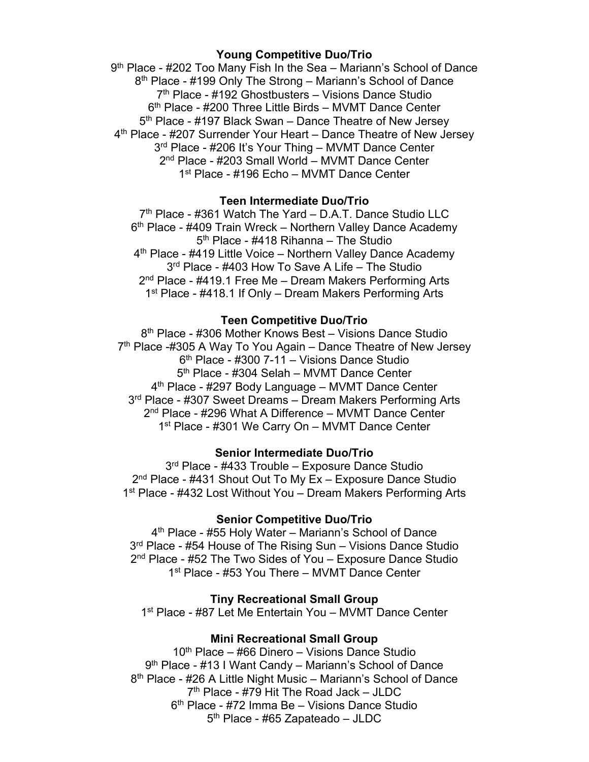## **Young Competitive Duo/Trio**

9<sup>th</sup> Place - #202 Too Many Fish In the Sea – Mariann's School of Dance 8<sup>th</sup> Place - #199 Only The Strong – Mariann's School of Dance 7<sup>th</sup> Place - #192 Ghostbusters – Visions Dance Studio 6th Place - #200 Three Little Birds – MVMT Dance Center 5<sup>th</sup> Place - #197 Black Swan – Dance Theatre of New Jersey 4th Place - #207 Surrender Your Heart – Dance Theatre of New Jersey 3<sup>rd</sup> Place - #206 It's Your Thing – MVMT Dance Center 2<sup>nd</sup> Place - #203 Small World – MVMT Dance Center 1<sup>st</sup> Place - #196 Echo – MVMT Dance Center

## **Teen Intermediate Duo/Trio**

7<sup>th</sup> Place - #361 Watch The Yard - D.A.T. Dance Studio LLC 6<sup>th</sup> Place - #409 Train Wreck – Northern Valley Dance Academy 5th Place - #418 Rihanna – The Studio 4<sup>th</sup> Place - #419 Little Voice – Northern Valley Dance Academy 3<sup>rd</sup> Place - #403 How To Save A Life – The Studio 2<sup>nd</sup> Place - #419.1 Free Me – Dream Makers Performing Arts 1<sup>st</sup> Place - #418.1 If Only – Dream Makers Performing Arts

## **Teen Competitive Duo/Trio**

8<sup>th</sup> Place - #306 Mother Knows Best - Visions Dance Studio  $7<sup>th</sup>$  Place -#305 A Way To You Again – Dance Theatre of New Jersey  $6<sup>th</sup>$  Place - #300 7-11 – Visions Dance Studio 5<sup>th</sup> Place - #304 Selah – MVMT Dance Center 4<sup>th</sup> Place - #297 Body Language – MVMT Dance Center 3<sup>rd</sup> Place - #307 Sweet Dreams – Dream Makers Performing Arts 2<sup>nd</sup> Place - #296 What A Difference – MVMT Dance Center 1<sup>st</sup> Place - #301 We Carry On – MVMT Dance Center

#### **Senior Intermediate Duo/Trio**

3<sup>rd</sup> Place - #433 Trouble – Exposure Dance Studio 2<sup>nd</sup> Place - #431 Shout Out To My Ex – Exposure Dance Studio 1<sup>st</sup> Place - #432 Lost Without You – Dream Makers Performing Arts

## **Senior Competitive Duo/Trio**

4th Place - #55 Holy Water – Mariann's School of Dance 3<sup>rd</sup> Place - #54 House of The Rising Sun – Visions Dance Studio 2<sup>nd</sup> Place - #52 The Two Sides of You – Exposure Dance Studio 1<sup>st</sup> Place - #53 You There – MVMT Dance Center

# **Tiny Recreational Small Group**

1<sup>st</sup> Place - #87 Let Me Entertain You – MVMT Dance Center

# **Mini Recreational Small Group**

 $10<sup>th</sup>$  Place – #66 Dinero – Visions Dance Studio 9<sup>th</sup> Place - #13 I Want Candy – Mariann's School of Dance 8th Place - #26 A Little Night Music – Mariann's School of Dance 7th Place - #79 Hit The Road Jack – JLDC 6th Place - #72 Imma Be – Visions Dance Studio 5th Place - #65 Zapateado – JLDC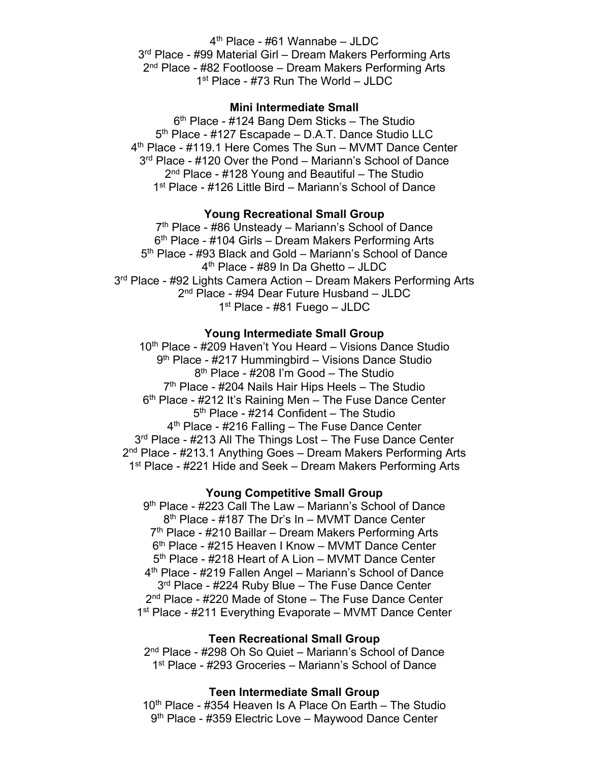$4<sup>th</sup>$  Place - #61 Wannabe – JLDC 3<sup>rd</sup> Place - #99 Material Girl – Dream Makers Performing Arts 2<sup>nd</sup> Place - #82 Footloose – Dream Makers Performing Arts 1st Place - #73 Run The World – JLDC

## **Mini Intermediate Small**

 $6<sup>th</sup>$  Place - #124 Bang Dem Sticks – The Studio 5<sup>th</sup> Place - #127 Escapade – D.A.T. Dance Studio LLC 4th Place - #119.1 Here Comes The Sun – MVMT Dance Center 3<sup>rd</sup> Place - #120 Over the Pond – Mariann's School of Dance  $2<sup>nd</sup>$  Place - #128 Young and Beautiful – The Studio 1st Place - #126 Little Bird – Mariann's School of Dance

### **Young Recreational Small Group**

7th Place - #86 Unsteady – Mariann's School of Dance 6th Place - #104 Girls – Dream Makers Performing Arts 5<sup>th</sup> Place - #93 Black and Gold – Mariann's School of Dance 4th Place - #89 In Da Ghetto – JLDC 3<sup>rd</sup> Place - #92 Lights Camera Action – Dream Makers Performing Arts 2<sup>nd</sup> Place - #94 Dear Future Husband - JLDC 1st Place - #81 Fuego – JLDC

### **Young Intermediate Small Group**

10<sup>th</sup> Place - #209 Haven't You Heard – Visions Dance Studio 9<sup>th</sup> Place - #217 Hummingbird – Visions Dance Studio 8th Place - #208 I'm Good – The Studio  $7<sup>th</sup>$  Place - #204 Nails Hair Hips Heels – The Studio  $6<sup>th</sup>$  Place - #212 It's Raining Men – The Fuse Dance Center 5th Place - #214 Confident – The Studio 4<sup>th</sup> Place - #216 Falling – The Fuse Dance Center 3<sup>rd</sup> Place - #213 All The Things Lost – The Fuse Dance Center 2<sup>nd</sup> Place - #213.1 Anything Goes – Dream Makers Performing Arts 1<sup>st</sup> Place - #221 Hide and Seek – Dream Makers Performing Arts

#### **Young Competitive Small Group**

9<sup>th</sup> Place - #223 Call The Law – Mariann's School of Dance 8<sup>th</sup> Place - #187 The Dr's In – MVMT Dance Center 7<sup>th</sup> Place - #210 Baillar – Dream Makers Performing Arts 6<sup>th</sup> Place - #215 Heaven I Know – MVMT Dance Center 5<sup>th</sup> Place - #218 Heart of A Lion – MVMT Dance Center 4th Place - #219 Fallen Angel – Mariann's School of Dance 3rd Place - #224 Ruby Blue – The Fuse Dance Center 2<sup>nd</sup> Place - #220 Made of Stone – The Fuse Dance Center 1<sup>st</sup> Place - #211 Everything Evaporate – MVMT Dance Center

### **Teen Recreational Small Group**

2nd Place - #298 Oh So Quiet – Mariann's School of Dance 1<sup>st</sup> Place - #293 Groceries – Mariann's School of Dance

#### **Teen Intermediate Small Group**

10<sup>th</sup> Place - #354 Heaven Is A Place On Earth – The Studio 9<sup>th</sup> Place - #359 Electric Love – Maywood Dance Center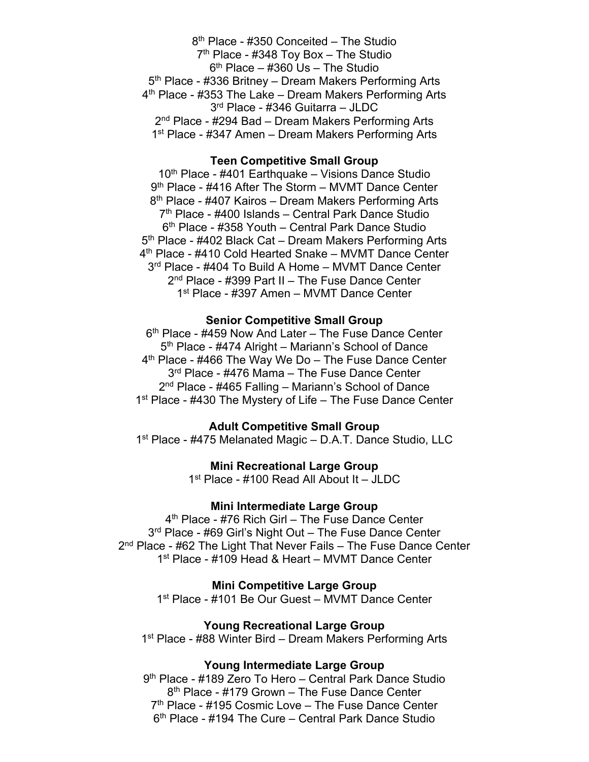8th Place - #350 Conceited – The Studio 7th Place - #348 Toy Box – The Studio  $6<sup>th</sup>$  Place – #360 Us – The Studio 5<sup>th</sup> Place - #336 Britney – Dream Makers Performing Arts 4<sup>th</sup> Place - #353 The Lake – Dream Makers Performing Arts 3rd Place - #346 Guitarra – JLDC 2<sup>nd</sup> Place - #294 Bad – Dream Makers Performing Arts 1<sup>st</sup> Place - #347 Amen – Dream Makers Performing Arts

### **Teen Competitive Small Group**

 $10<sup>th</sup>$  Place - #401 Earthquake – Visions Dance Studio 9<sup>th</sup> Place - #416 After The Storm – MVMT Dance Center 8<sup>th</sup> Place - #407 Kairos – Dream Makers Performing Arts 7<sup>th</sup> Place - #400 Islands – Central Park Dance Studio 6th Place - #358 Youth – Central Park Dance Studio 5<sup>th</sup> Place - #402 Black Cat – Dream Makers Performing Arts 4<sup>th</sup> Place - #410 Cold Hearted Snake – MVMT Dance Center 3<sup>rd</sup> Place - #404 To Build A Home – MVMT Dance Center 2nd Place - #399 Part II – The Fuse Dance Center 1<sup>st</sup> Place - #397 Amen – MVMT Dance Center

#### **Senior Competitive Small Group**

6<sup>th</sup> Place - #459 Now And Later – The Fuse Dance Center 5th Place - #474 Alright – Mariann's School of Dance 4<sup>th</sup> Place - #466 The Way We Do - The Fuse Dance Center 3<sup>rd</sup> Place - #476 Mama – The Fuse Dance Center 2<sup>nd</sup> Place - #465 Falling – Mariann's School of Dance 1<sup>st</sup> Place - #430 The Mystery of Life – The Fuse Dance Center

## **Adult Competitive Small Group**

1<sup>st</sup> Place - #475 Melanated Magic – D.A.T. Dance Studio, LLC

## **Mini Recreational Large Group**

1st Place - #100 Read All About It – JLDC

#### **Mini Intermediate Large Group**

4<sup>th</sup> Place - #76 Rich Girl – The Fuse Dance Center 3<sup>rd</sup> Place - #69 Girl's Night Out - The Fuse Dance Center 2<sup>nd</sup> Place - #62 The Light That Never Fails – The Fuse Dance Center 1<sup>st</sup> Place - #109 Head & Heart – MVMT Dance Center

#### **Mini Competitive Large Group**

1<sup>st</sup> Place - #101 Be Our Guest – MVMT Dance Center

**Young Recreational Large Group**

1<sup>st</sup> Place - #88 Winter Bird – Dream Makers Performing Arts

#### **Young Intermediate Large Group**

9th Place - #189 Zero To Hero – Central Park Dance Studio 8<sup>th</sup> Place - #179 Grown - The Fuse Dance Center  $7<sup>th</sup>$  Place - #195 Cosmic Love – The Fuse Dance Center 6th Place - #194 The Cure – Central Park Dance Studio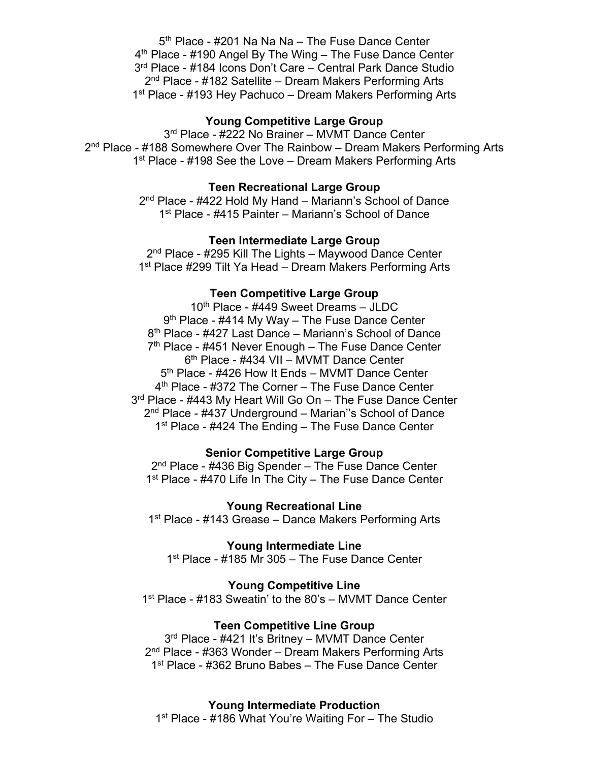5<sup>th</sup> Place - #201 Na Na Na – The Fuse Dance Center 4th Place - #190 Angel By The Wing – The Fuse Dance Center 3rd Place - #184 Icons Don't Care – Central Park Dance Studio 2<sup>nd</sup> Place - #182 Satellite – Dream Makers Performing Arts 1<sup>st</sup> Place - #193 Hey Pachuco – Dream Makers Performing Arts

## **Young Competitive Large Group**

3<sup>rd</sup> Place - #222 No Brainer – MVMT Dance Center 2<sup>nd</sup> Place - #188 Somewhere Over The Rainbow – Dream Makers Performing Arts 1<sup>st</sup> Place - #198 See the Love – Dream Makers Performing Arts

## **Teen Recreational Large Group**

2nd Place - #422 Hold My Hand – Mariann's School of Dance 1<sup>st</sup> Place - #415 Painter – Mariann's School of Dance

## **Teen Intermediate Large Group**

2<sup>nd</sup> Place - #295 Kill The Lights – Maywood Dance Center 1<sup>st</sup> Place #299 Tilt Ya Head – Dream Makers Performing Arts

## **Teen Competitive Large Group**

10<sup>th</sup> Place - #449 Sweet Dreams - JLDC 9<sup>th</sup> Place - #414 My Way – The Fuse Dance Center 8<sup>th</sup> Place - #427 Last Dance – Mariann's School of Dance  $7<sup>th</sup>$  Place - #451 Never Enough – The Fuse Dance Center 6th Place - #434 VII – MVMT Dance Center 5<sup>th</sup> Place - #426 How It Ends – MVMT Dance Center 4<sup>th</sup> Place - #372 The Corner – The Fuse Dance Center 3<sup>rd</sup> Place - #443 My Heart Will Go On – The Fuse Dance Center 2<sup>nd</sup> Place - #437 Underground – Marian"s School of Dance 1<sup>st</sup> Place - #424 The Ending – The Fuse Dance Center

#### **Senior Competitive Large Group**

2<sup>nd</sup> Place - #436 Big Spender - The Fuse Dance Center 1<sup>st</sup> Place - #470 Life In The City – The Fuse Dance Center

**Young Recreational Line** 

1<sup>st</sup> Place - #143 Grease – Dance Makers Performing Arts

**Young Intermediate Line**  1st Place - #185 Mr 305 – The Fuse Dance Center

### **Young Competitive Line**

1<sup>st</sup> Place - #183 Sweatin' to the 80's – MVMT Dance Center

### **Teen Competitive Line Group**

3<sup>rd</sup> Place - #421 It's Britney – MVMT Dance Center 2nd Place - #363 Wonder – Dream Makers Performing Arts 1<sup>st</sup> Place - #362 Bruno Babes – The Fuse Dance Center

**Young Intermediate Production** 1<sup>st</sup> Place - #186 What You're Waiting For – The Studio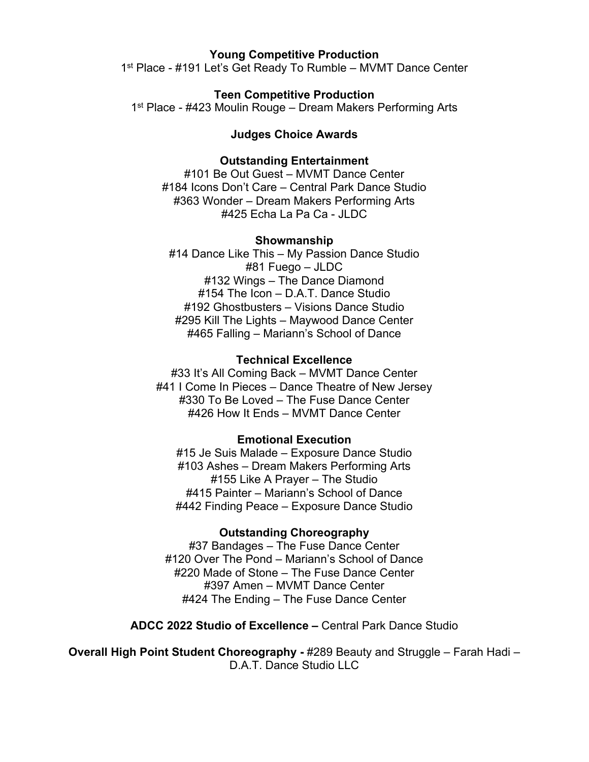## **Young Competitive Production**

1<sup>st</sup> Place - #191 Let's Get Ready To Rumble – MVMT Dance Center

### **Teen Competitive Production**

1<sup>st</sup> Place - #423 Moulin Rouge – Dream Makers Performing Arts

### **Judges Choice Awards**

#### **Outstanding Entertainment**

#101 Be Out Guest – MVMT Dance Center #184 Icons Don't Care – Central Park Dance Studio #363 Wonder – Dream Makers Performing Arts #425 Echa La Pa Ca - JLDC

#### **Showmanship**

#14 Dance Like This – My Passion Dance Studio #81 Fuego – JLDC #132 Wings – The Dance Diamond #154 The Icon – D.A.T. Dance Studio #192 Ghostbusters – Visions Dance Studio #295 Kill The Lights – Maywood Dance Center #465 Falling – Mariann's School of Dance

### **Technical Excellence**

#33 It's All Coming Back – MVMT Dance Center #41 I Come In Pieces – Dance Theatre of New Jersey #330 To Be Loved – The Fuse Dance Center #426 How It Ends – MVMT Dance Center

### **Emotional Execution**

#15 Je Suis Malade – Exposure Dance Studio #103 Ashes – Dream Makers Performing Arts #155 Like A Prayer – The Studio #415 Painter – Mariann's School of Dance #442 Finding Peace – Exposure Dance Studio

#### **Outstanding Choreography**

#37 Bandages – The Fuse Dance Center #120 Over The Pond – Mariann's School of Dance #220 Made of Stone – The Fuse Dance Center #397 Amen – MVMT Dance Center #424 The Ending – The Fuse Dance Center

**ADCC 2022 Studio of Excellence –** Central Park Dance Studio

**Overall High Point Student Choreography -** #289 Beauty and Struggle – Farah Hadi – D.A.T. Dance Studio LLC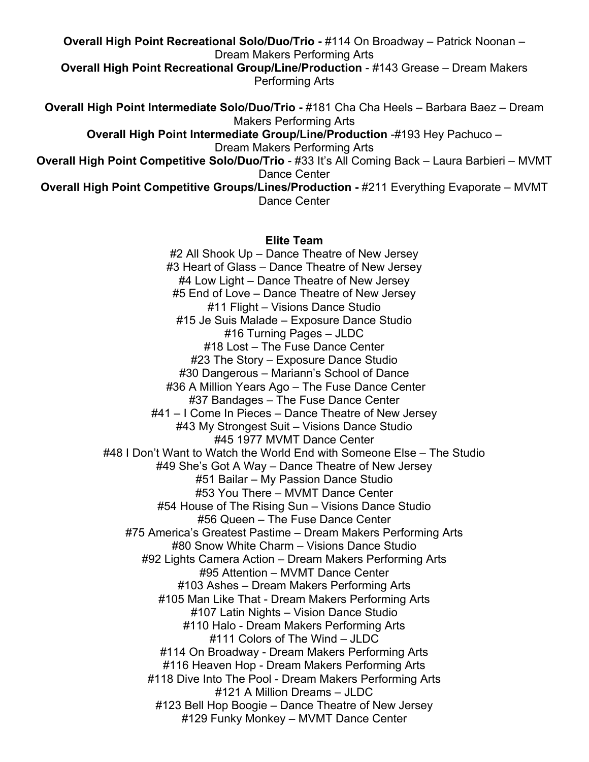**Overall High Point Recreational Solo/Duo/Trio -** #114 On Broadway – Patrick Noonan – Dream Makers Performing Arts

**Overall High Point Recreational Group/Line/Production** - #143 Grease – Dream Makers Performing Arts

**Overall High Point Intermediate Solo/Duo/Trio -** #181 Cha Cha Heels – Barbara Baez – Dream Makers Performing Arts

**Overall High Point Intermediate Group/Line/Production** -#193 Hey Pachuco – Dream Makers Performing Arts

**Overall High Point Competitive Solo/Duo/Trio** - #33 It's All Coming Back – Laura Barbieri – MVMT Dance Center

**Overall High Point Competitive Groups/Lines/Production -** #211 Everything Evaporate – MVMT Dance Center

## **Elite Team**

#2 All Shook Up – Dance Theatre of New Jersey #3 Heart of Glass – Dance Theatre of New Jersey #4 Low Light – Dance Theatre of New Jersey #5 End of Love – Dance Theatre of New Jersey #11 Flight – Visions Dance Studio #15 Je Suis Malade – Exposure Dance Studio #16 Turning Pages – JLDC #18 Lost – The Fuse Dance Center #23 The Story – Exposure Dance Studio #30 Dangerous – Mariann's School of Dance #36 A Million Years Ago – The Fuse Dance Center #37 Bandages – The Fuse Dance Center #41 – I Come In Pieces – Dance Theatre of New Jersey #43 My Strongest Suit – Visions Dance Studio #45 1977 MVMT Dance Center #48 I Don't Want to Watch the World End with Someone Else – The Studio #49 She's Got A Way – Dance Theatre of New Jersey #51 Bailar – My Passion Dance Studio #53 You There – MVMT Dance Center #54 House of The Rising Sun – Visions Dance Studio #56 Queen – The Fuse Dance Center #75 America's Greatest Pastime – Dream Makers Performing Arts #80 Snow White Charm – Visions Dance Studio #92 Lights Camera Action – Dream Makers Performing Arts #95 Attention – MVMT Dance Center #103 Ashes – Dream Makers Performing Arts #105 Man Like That - Dream Makers Performing Arts #107 Latin Nights – Vision Dance Studio #110 Halo - Dream Makers Performing Arts #111 Colors of The Wind – JLDC #114 On Broadway - Dream Makers Performing Arts #116 Heaven Hop - Dream Makers Performing Arts #118 Dive Into The Pool - Dream Makers Performing Arts #121 A Million Dreams – JLDC #123 Bell Hop Boogie – Dance Theatre of New Jersey #129 Funky Monkey – MVMT Dance Center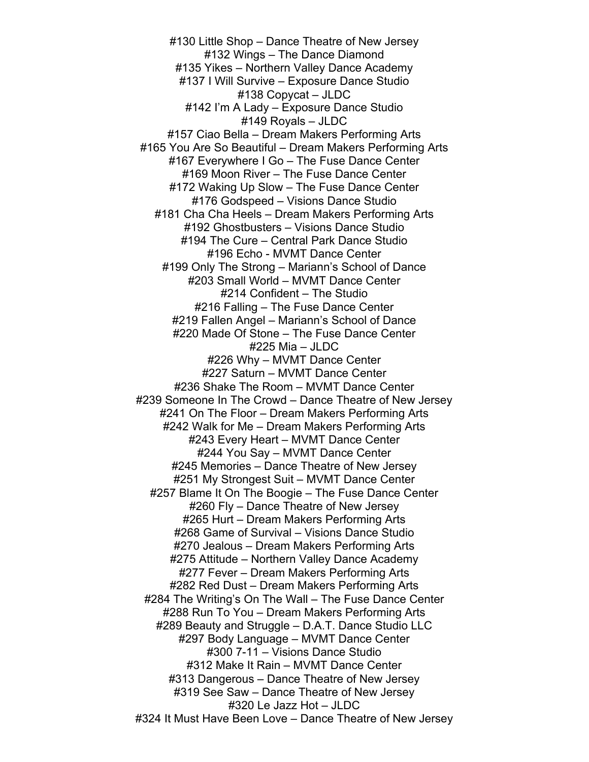#130 Little Shop – Dance Theatre of New Jersey #132 Wings – The Dance Diamond #135 Yikes – Northern Valley Dance Academy #137 I Will Survive – Exposure Dance Studio #138 Copycat – JLDC #142 I'm A Lady – Exposure Dance Studio #149 Royals – JLDC #157 Ciao Bella – Dream Makers Performing Arts #165 You Are So Beautiful – Dream Makers Performing Arts #167 Everywhere I Go – The Fuse Dance Center #169 Moon River – The Fuse Dance Center #172 Waking Up Slow – The Fuse Dance Center #176 Godspeed – Visions Dance Studio #181 Cha Cha Heels – Dream Makers Performing Arts #192 Ghostbusters – Visions Dance Studio #194 The Cure – Central Park Dance Studio #196 Echo - MVMT Dance Center #199 Only The Strong – Mariann's School of Dance #203 Small World – MVMT Dance Center #214 Confident – The Studio #216 Falling – The Fuse Dance Center #219 Fallen Angel – Mariann's School of Dance #220 Made Of Stone – The Fuse Dance Center #225 Mia – JLDC #226 Why – MVMT Dance Center #227 Saturn – MVMT Dance Center #236 Shake The Room – MVMT Dance Center #239 Someone In The Crowd – Dance Theatre of New Jersey #241 On The Floor – Dream Makers Performing Arts #242 Walk for Me – Dream Makers Performing Arts #243 Every Heart – MVMT Dance Center #244 You Say – MVMT Dance Center #245 Memories – Dance Theatre of New Jersey #251 My Strongest Suit – MVMT Dance Center #257 Blame It On The Boogie – The Fuse Dance Center #260 Fly – Dance Theatre of New Jersey #265 Hurt – Dream Makers Performing Arts #268 Game of Survival – Visions Dance Studio #270 Jealous – Dream Makers Performing Arts #275 Attitude – Northern Valley Dance Academy #277 Fever – Dream Makers Performing Arts #282 Red Dust – Dream Makers Performing Arts #284 The Writing's On The Wall – The Fuse Dance Center #288 Run To You – Dream Makers Performing Arts #289 Beauty and Struggle – D.A.T. Dance Studio LLC #297 Body Language – MVMT Dance Center #300 7-11 – Visions Dance Studio #312 Make It Rain – MVMT Dance Center #313 Dangerous – Dance Theatre of New Jersey #319 See Saw – Dance Theatre of New Jersey #320 Le Jazz Hot – JLDC #324 It Must Have Been Love – Dance Theatre of New Jersey